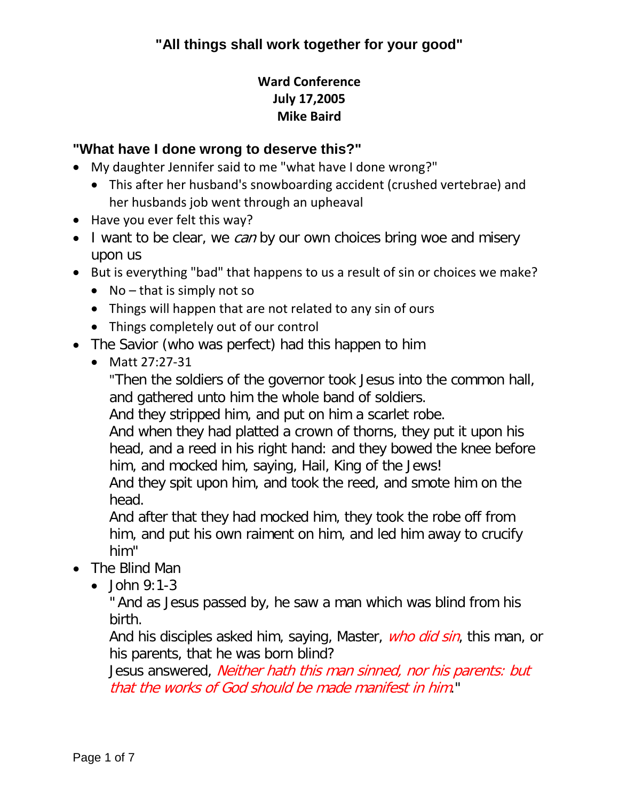### **Ward Conference July 17,2005 Mike Baird**

#### **"What have I done wrong to deserve this?"**

- My daughter Jennifer said to me "what have I done wrong?"
	- This after her husband's snowboarding accident (crushed vertebrae) and her husbands job went through an upheaval
- Have you ever felt this way?
- I want to be clear, we *can* by our own choices bring woe and misery upon us
- But is everything "bad" that happens to us a result of sin or choices we make?
	- No that is simply not so
	- Things will happen that are not related to any sin of ours
	- Things completely out of our control
- The Savior (who was perfect) had this happen to him
	- Matt 27:27-31

"Then the soldiers of the governor took Jesus into the common hall, and gathered unto him the whole band of soldiers.

And they stripped him, and put on him a scarlet robe.

And when they had platted a crown of thorns, they put it upon his head, and a reed in his right hand: and they bowed the knee before him, and mocked him, saying, Hail, King of the Jews!

And they spit upon him, and took the reed, and smote him on the head.

And after that they had mocked him, they took the robe off from him, and put his own raiment on him, and led him away to crucify him"

- The Blind Man
	- $\bullet$  John 9:1-3

" And as Jesus passed by, he saw a man which was blind from his birth.

And his disciples asked him, saying, Master, *who did sin*, this man, or his parents, that he was born blind?

Jesus answered, *Neither hath this man sinned, nor his parents: but* that the works of God should be made manifest in him."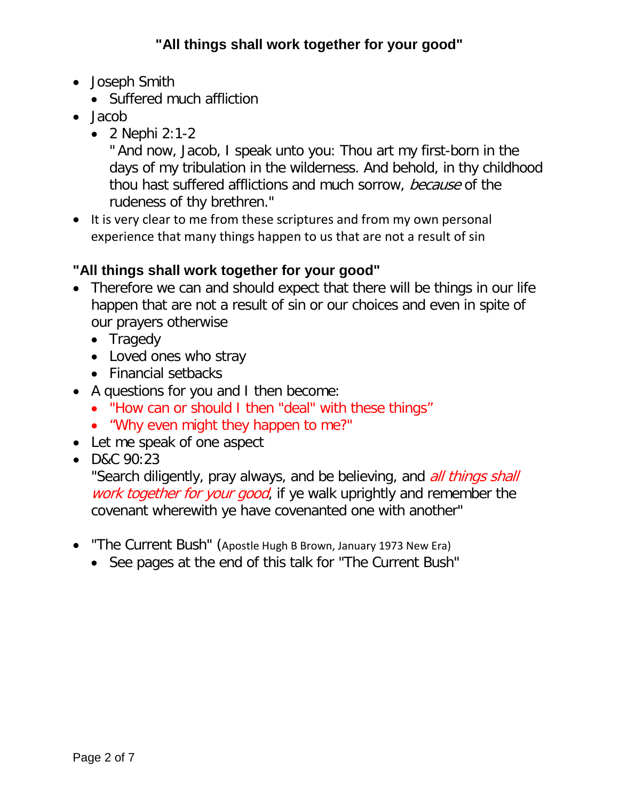- Joseph Smith
	- Suffered much affliction
- Jacob
	- 2 Nephi 2:1-2

" And now, Jacob, I speak unto you: Thou art my first-born in the days of my tribulation in the wilderness. And behold, in thy childhood thou hast suffered afflictions and much sorrow, because of the rudeness of thy brethren."

• It is very clear to me from these scriptures and from my own personal experience that many things happen to us that are not a result of sin

# **"All things shall work together for your good"**

- Therefore we can and should expect that there will be things in our life happen that are not a result of sin or our choices and even in spite of our prayers otherwise
	- Tragedy
	- Loved ones who stray
	- Financial setbacks
- A questions for you and I then become:
	- "How can or should I then "deal" with these things"
	- "Why even might they happen to me?"
- Let me speak of one aspect
- D&C 90:23

"Search diligently, pray always, and be believing, and *all things shall* work together for your good, if ye walk uprightly and remember the covenant wherewith ye have covenanted one with another"

- "The Current Bush" (Apostle Hugh B Brown, January 1973 New Era)
	- See pages at the end of this talk for "The Current Bush"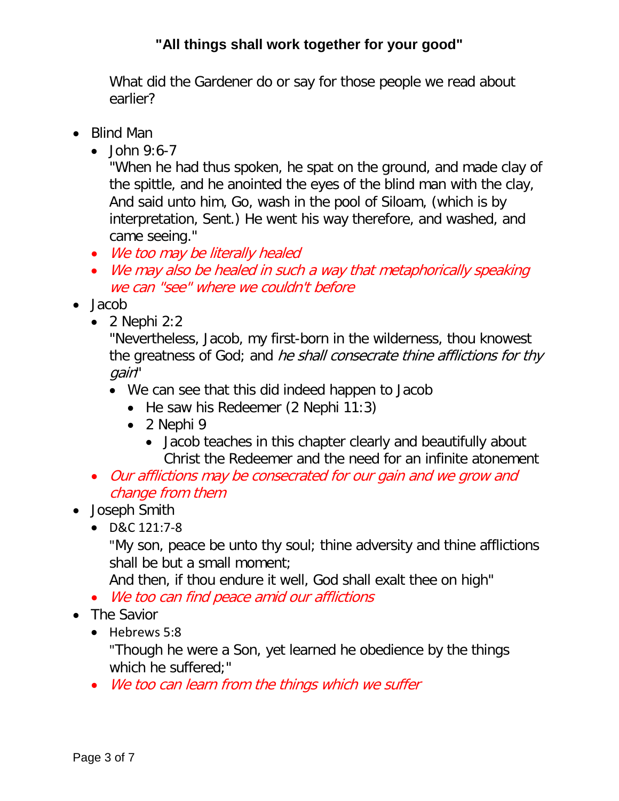What did the Gardener do or say for those people we read about earlier?

- Blind Man
	- $\bullet$  John 9:6-7

"When he had thus spoken, he spat on the ground, and made clay of the spittle, and he anointed the eyes of the blind man with the clay, And said unto him, Go, wash in the pool of Siloam, (which is by interpretation, Sent.) He went his way therefore, and washed, and came seeing."

- We too may be literally healed
- We may also be healed in such a way that metaphorically speaking we can "see" where we couldn't before
- Jacob
	- $\bullet$  2 Nephi 2:2

"Nevertheless, Jacob, my first-born in the wilderness, thou knowest the greatness of God; and he shall consecrate thine afflictions for thy gain"

- We can see that this did indeed happen to Jacob
	- He saw his Redeemer (2 Nephi 11:3)
	- 2 Nephi 9
		- Jacob teaches in this chapter clearly and beautifully about Christ the Redeemer and the need for an infinite atonement
- Our afflictions may be consecrated for our gain and we grow and change from them
- Joseph Smith
	- D&C 121:7-8

"My son, peace be unto thy soul; thine adversity and thine afflictions shall be but a small moment;

And then, if thou endure it well, God shall exalt thee on high"

- We too can find peace amid our afflictions
- The Savior
	- Hebrews 5:8

"Though he were a Son, yet learned he obedience by the things which he suffered;"

• We too can learn from the things which we suffer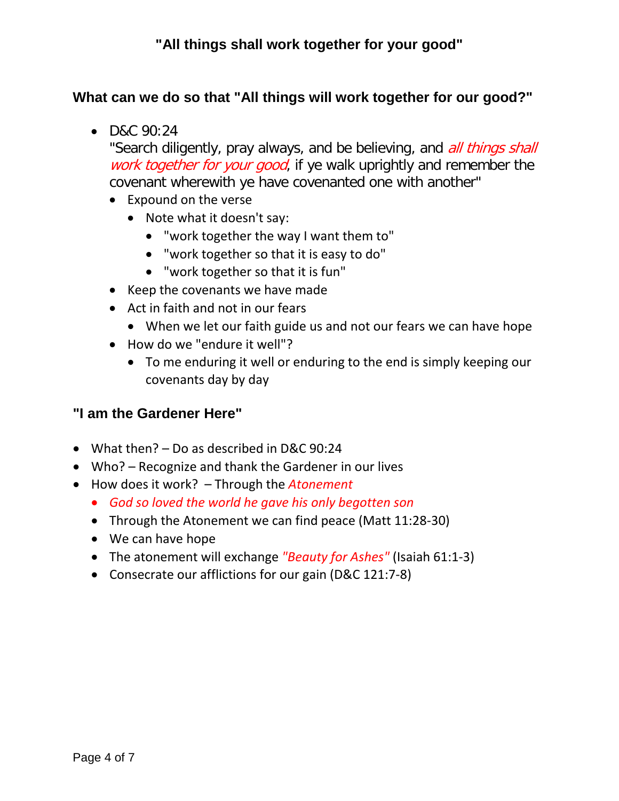#### **What can we do so that "All things will work together for our good?"**

• D&C 90:24

"Search diligently, pray always, and be believing, and *all things shall* work together for your good, if ye walk uprightly and remember the covenant wherewith ye have covenanted one with another"

- Expound on the verse
	- Note what it doesn't say:
		- "work together the way I want them to"
		- "work together so that it is easy to do"
		- "work together so that it is fun"
- Keep the covenants we have made
- Act in faith and not in our fears
	- When we let our faith guide us and not our fears we can have hope
- How do we "endure it well"?
	- To me enduring it well or enduring to the end is simply keeping our covenants day by day

#### **"I am the Gardener Here"**

- What then? Do as described in D&C 90:24
- Who? Recognize and thank the Gardener in our lives
- How does it work? Through the *Atonement*
	- *God so loved the world he gave his only begotten son*
	- Through the Atonement we can find peace (Matt 11:28-30)
	- We can have hope
	- The atonement will exchange *"Beauty for Ashes"* (Isaiah 61:1-3)
	- Consecrate our afflictions for our gain (D&C 121:7-8)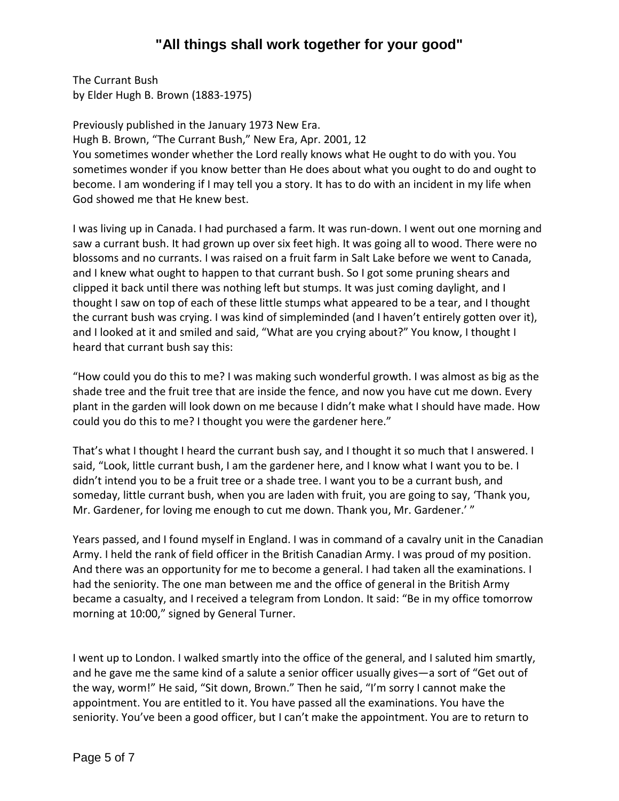The Currant Bush by Elder Hugh B. Brown (1883-1975)

Previously published in the January 1973 New Era. Hugh B. Brown, "The Currant Bush," New Era, Apr. 2001, 12 You sometimes wonder whether the Lord really knows what He ought to do with you. You sometimes wonder if you know better than He does about what you ought to do and ought to become. I am wondering if I may tell you a story. It has to do with an incident in my life when God showed me that He knew best.

I was living up in Canada. I had purchased a farm. It was run-down. I went out one morning and saw a currant bush. It had grown up over six feet high. It was going all to wood. There were no blossoms and no currants. I was raised on a fruit farm in Salt Lake before we went to Canada, and I knew what ought to happen to that currant bush. So I got some pruning shears and clipped it back until there was nothing left but stumps. It was just coming daylight, and I thought I saw on top of each of these little stumps what appeared to be a tear, and I thought the currant bush was crying. I was kind of simpleminded (and I haven't entirely gotten over it), and I looked at it and smiled and said, "What are you crying about?" You know, I thought I heard that currant bush say this:

"How could you do this to me? I was making such wonderful growth. I was almost as big as the shade tree and the fruit tree that are inside the fence, and now you have cut me down. Every plant in the garden will look down on me because I didn't make what I should have made. How could you do this to me? I thought you were the gardener here."

That's what I thought I heard the currant bush say, and I thought it so much that I answered. I said, "Look, little currant bush, I am the gardener here, and I know what I want you to be. I didn't intend you to be a fruit tree or a shade tree. I want you to be a currant bush, and someday, little currant bush, when you are laden with fruit, you are going to say, 'Thank you, Mr. Gardener, for loving me enough to cut me down. Thank you, Mr. Gardener.' "

Years passed, and I found myself in England. I was in command of a cavalry unit in the Canadian Army. I held the rank of field officer in the British Canadian Army. I was proud of my position. And there was an opportunity for me to become a general. I had taken all the examinations. I had the seniority. The one man between me and the office of general in the British Army became a casualty, and I received a telegram from London. It said: "Be in my office tomorrow morning at 10:00," signed by General Turner.

I went up to London. I walked smartly into the office of the general, and I saluted him smartly, and he gave me the same kind of a salute a senior officer usually gives—a sort of "Get out of the way, worm!" He said, "Sit down, Brown." Then he said, "I'm sorry I cannot make the appointment. You are entitled to it. You have passed all the examinations. You have the seniority. You've been a good officer, but I can't make the appointment. You are to return to